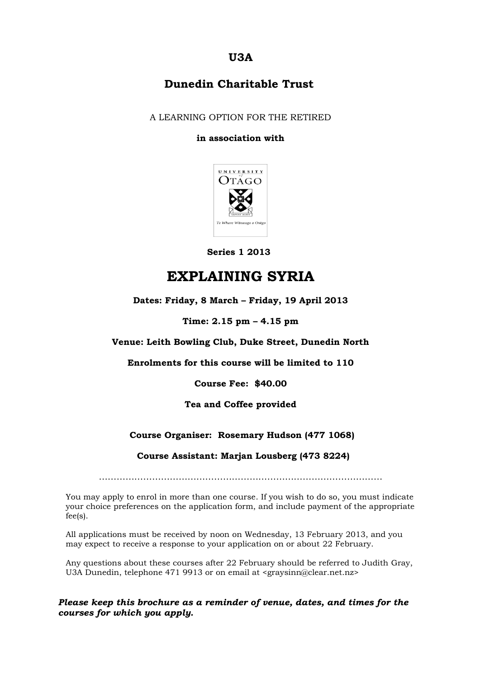# **U3A**

## **Dunedin Charitable Trust**

A LEARNING OPTION FOR THE RETIRED

#### **in association with**



 **Series 1 2013**

# **EXPLAINING SYRIA**

### **Dates: Friday, 8 March – Friday, 19 April 2013**

#### **Time: 2.15 pm – 4.15 pm**

#### **Venue: Leith Bowling Club, Duke Street, Dunedin North**

**Enrolments for this course will be limited to 110**

**Course Fee: \$40.00**

#### **Tea and Coffee provided**

### **Course Organiser: Rosemary Hudson (477 1068)**

#### **Course Assistant: Marjan Lousberg (473 8224)**

……………………………………………………………………………………

You may apply to enrol in more than one course. If you wish to do so, you must indicate your choice preferences on the application form, and include payment of the appropriate fee(s).

All applications must be received by noon on Wednesday, 13 February 2013, and you may expect to receive a response to your application on or about 22 February.

Any questions about these courses after 22 February should be referred to Judith Gray, U3A Dunedin, telephone 471 9913 or on email at <graysinn@clear.net.nz>

### *Please keep this brochure as a reminder of venue, dates, and times for the courses for which you apply.*